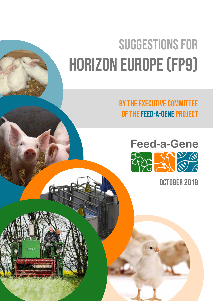# Suggestions for HORIZON EUROPE (FP9)

by the Executive Committee of the Feed-a-Gene project



October 2018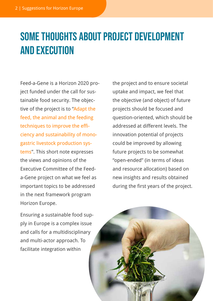## some thoughts about project development and execution

Feed-a-Gene is a Horizon 2020 project funded under the call for sustainable food security. The objective of the project is to "Adapt the feed, the animal and the feeding techniques to improve the efficiency and sustainability of monogastric livestock production systems". This short note expresses the views and opinions of the Executive Committee of the Feeda-Gene project on what we feel as important topics to be addressed in the next framework program Horizon Europe.

the project and to ensure societal uptake and impact, we feel that the objective (and object) of future projects should be focused and question-oriented, which should be addressed at different levels. The innovation potential of projects could be improved by allowing future projects to be somewhat "open-ended" (in terms of ideas and resource allocation) based on new insights and results obtained during the first years of the project.

Ensuring a sustainable food supply in Europe is a complex issue and calls for a multidisciplinary and multi-actor approach. To facilitate integration within

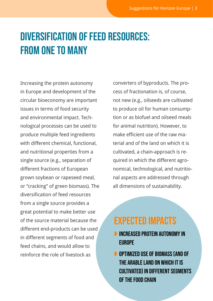## Diversification of feed resources: from one to many

Increasing the protein autonomy in Europe and development of the circular bioeconomy are important issues in terms of food security and environmental impact. Technological processes can be used to produce multiple feed ingredients with different chemical, functional, and nutritional properties from a single source (e.g., separation of different fractions of European grown soybean or rapeseed meal, or "cracking" of green biomass). The diversification of feed resources from a single source provides a great potential to make better use of the source material because the different end-products can be used in different segments of food and feed chains, and would allow to reinforce the role of livestock as

converters of byproducts. The process of fractionation is, of course, not new (e.g., oilseeds are cultivated to produce oil for human consumption or as biofuel and oilseed meals for animal nutrition). However, to make efficient use of the raw material and of the land on which it is cultivated, a chain-approach is required in which the different agronomical, technological, and nutritional aspects are addressed through all dimensions of sustainability.

#### Expected impacts

- **D** INCREASED PROTEIN AUTONOMY IN **EUROPE**
- **D** OPTIMIZED USE OF BIOMASS (AND OF the arable land on which it is cultivated) in different segments of the food chain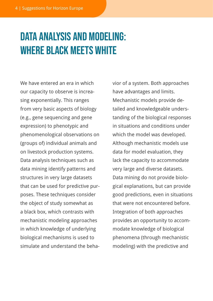## Data analysis and modeling: where black meets white

We have entered an era in which our capacity to observe is increasing exponentially. This ranges from very basic aspects of biology (e.g., gene sequencing and gene expression) to phenotypic and phenomenological observations on (groups of) individual animals and on livestock production systems. Data analysis techniques such as data mining identify patterns and structures in very large datasets that can be used for predictive purposes. These techniques consider the object of study somewhat as a black box, which contrasts with mechanistic modeling approaches in which knowledge of underlying biological mechanisms is used to simulate and understand the behavior of a system. Both approaches have advantages and limits. Mechanistic models provide detailed and knowledgeable understanding of the biological responses in situations and conditions under which the model was developed. Although mechanistic models use data for model evaluation, they lack the capacity to accommodate very large and diverse datasets. Data mining do not provide biological explanations, but can provide good predictions, even in situations that were not encountered before. Integration of both approaches provides an opportunity to accommodate knowledge of biological phenomena (through mechanistic modeling) with the predictive and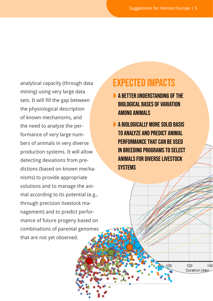analytical capacity (through data mining) using very large data sets. It will fill the gap between the physiological description of known mechanisms, and the need to analyze the performance of very large numbers of animals in very diverse production systems. It will allow detecting deviations from predictions (based on known mechanisms) to provide appropriate solutions and to manage the animal according to its potential (e.g., through precision livestock management) and to predict performance of future progeny based on combinations of parental genomes that are not yet observed.

#### Expected impacts

- **A BETTER UNDERSTANDING OF THE** biological bases of variation **AMONG ANIMALS**
- A biologically more solid basis to analyze and predict animal performance that can be used in breeding programs to select animals for diverse livestock **SYSTEMS**

120

Duration (day)

140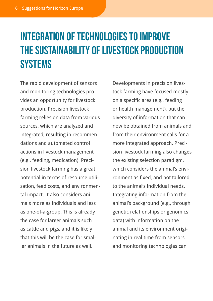## Integration of technologies to improve the sustainability of livestock production **SYSTEMS**

The rapid development of sensors and monitoring technologies provides an opportunity for livestock production. Precision livestock farming relies on data from various sources, which are analyzed and integrated, resulting in recommendations and automated control actions in livestock management (e.g., feeding, medication). Precision livestock farming has a great potential in terms of resource utilization, feed costs, and environmental impact. It also considers animals more as individuals and less as one-of-a-group. This is already the case for larger animals such as cattle and pigs, and it is likely that this will be the case for smaller animals in the future as well.

Developments in precision livestock farming have focused mostly on a specific area (e.g., feeding or health management), but the diversity of information that can now be obtained from animals and from their environment calls for a more integrated approach. Precision livestock farming also changes the existing selection paradigm, which considers the animal's environment as fixed, and not tailored to the animal's individual needs. Integrating information from the animal's background (e.g., through genetic relationships or genomics data) with information on the animal and its environment originating in real time from sensors and monitoring technologies can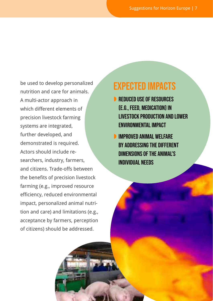be used to develop personalized nutrition and care for animals. A multi-actor approach in which different elements of precision livestock farming systems are integrated, further developed, and demonstrated is required. Actors should include researchers, industry, farmers, and citizens. Trade-offs between the benefits of precision livestock farming (e.g., improved resource efficiency, reduced environmental impact, personalized animal nutrition and care) and limitations (e.g., acceptance by farmers, perception of citizens) should be addressed.

#### Expected impacts

- **REDUCED USE OF RESOURCES** (e.g., feed, medication) in livestock production and lower environmental impact
- **D** IMPROVED ANIMAL WELFARE by addressing the different dimensions of the animal's individual needs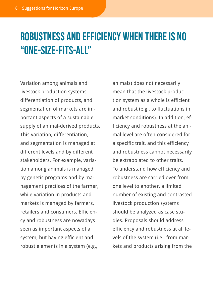## Robustness and efficiency when there is no "one-size-fits-all"

Variation among animals and livestock production systems, differentiation of products, and segmentation of markets are important aspects of a sustainable supply of animal-derived products. This variation, differentiation, and segmentation is managed at different levels and by different stakeholders. For example, variation among animals is managed by genetic programs and by management practices of the farmer, while variation in products and markets is managed by farmers, retailers and consumers. Efficiency and robustness are nowadays seen as important aspects of a system, but having efficient and robust elements in a system (e.g.,

animals) does not necessarily mean that the livestock production system as a whole is efficient and robust (e.g., to fluctuations in market conditions). In addition, efficiency and robustness at the animal level are often considered for a specific trait, and this efficiency and robustness cannot necessarily be extrapolated to other traits. To understand how efficiency and robustness are carried over from one level to another, a limited number of existing and contrasted livestock production systems should be analyzed as case studies. Proposals should address efficiency and robustness at all levels of the system (i.e., from markets and products arising from the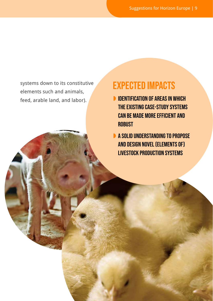systems down to its constitutive elements such and animals, feed, arable land, and labor).

### Expected impacts

- **D** IDENTIFICATION OF AREAS IN WHICH the existing case-study systems can be made more efficient and **ROBUST**
- A solid understanding to propose and design novel (elements of) livestock production systems